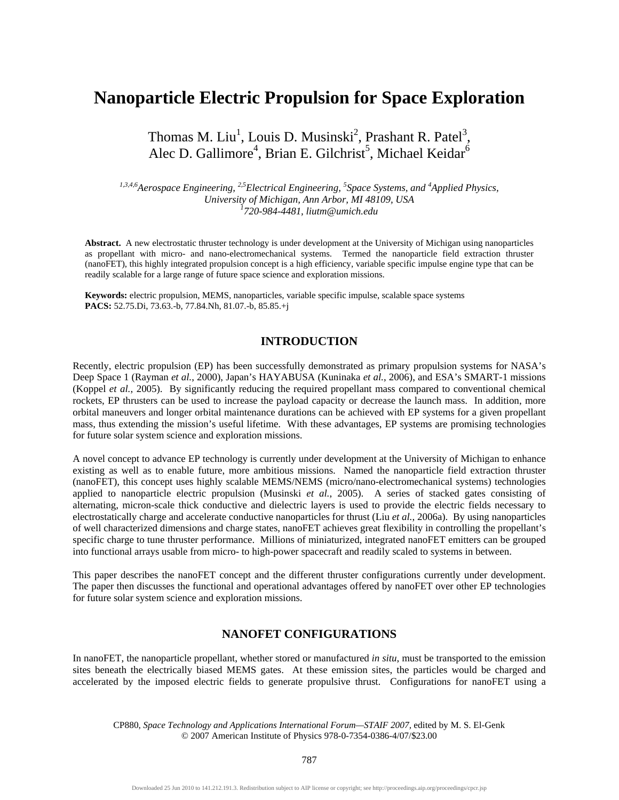# **Nanoparticle Electric Propulsion for Space Exploration**

Thomas M. Liu<sup>1</sup>, Louis D. Musinski<sup>2</sup>, Prashant R. Patel<sup>3</sup>, Alec D. Gallimore<sup>4</sup>, Brian E. Gilchrist<sup>5</sup>, Michael Keidar<sup>6</sup>

*1,3,4,6Aerospace Engineering, 2,5Electrical Engineering, 5 Space Systems, and 4 Applied Physics, University of Michigan, Ann Arbor, MI 48109, USA 1 720-984-4481, liutm@umich.edu* 

**Abstract.** A new electrostatic thruster technology is under development at the University of Michigan using nanoparticles as propellant with micro- and nano-electromechanical systems. Termed the nanoparticle field extraction thruster (nanoFET), this highly integrated propulsion concept is a high efficiency, variable specific impulse engine type that can be readily scalable for a large range of future space science and exploration missions.

**Keywords:** electric propulsion, MEMS, nanoparticles, variable specific impulse, scalable space systems **PACS:** 52.75.Di, 73.63.-b, 77.84.Nh, 81.07.-b, 85.85.+j

### **INTRODUCTION**

Recently, electric propulsion (EP) has been successfully demonstrated as primary propulsion systems for NASA's Deep Space 1 (Rayman *et al.*, 2000), Japan's HAYABUSA (Kuninaka *et al.*, 2006), and ESA's SMART-1 missions (Koppel *et al.*, 2005). By significantly reducing the required propellant mass compared to conventional chemical rockets, EP thrusters can be used to increase the payload capacity or decrease the launch mass. In addition, more orbital maneuvers and longer orbital maintenance durations can be achieved with EP systems for a given propellant mass, thus extending the mission's useful lifetime. With these advantages, EP systems are promising technologies for future solar system science and exploration missions.

A novel concept to advance EP technology is currently under development at the University of Michigan to enhance existing as well as to enable future, more ambitious missions. Named the nanoparticle field extraction thruster (nanoFET), this concept uses highly scalable MEMS/NEMS (micro/nano-electromechanical systems) technologies applied to nanoparticle electric propulsion (Musinski *et al.*, 2005). A series of stacked gates consisting of alternating, micron-scale thick conductive and dielectric layers is used to provide the electric fields necessary to electrostatically charge and accelerate conductive nanoparticles for thrust (Liu *et al.*, 2006a). By using nanoparticles of well characterized dimensions and charge states, nanoFET achieves great flexibility in controlling the propellant's specific charge to tune thruster performance. Millions of miniaturized, integrated nanoFET emitters can be grouped into functional arrays usable from micro- to high-power spacecraft and readily scaled to systems in between.

This paper describes the nanoFET concept and the different thruster configurations currently under development. The paper then discusses the functional and operational advantages offered by nanoFET over other EP technologies for future solar system science and exploration missions.

## **NANOFET CONFIGURATIONS**

In nanoFET, the nanoparticle propellant, whether stored or manufactured *in situ*, must be transported to the emission In hanor ET, the hanoparticle propertiant, whether stored or manufactured *in stat*, must be transported to the emission sites beneath the electrically biased MEMS gates. At these emission sites, the particles would be ch accelerated by the imposed electric fields to generate propulsive thrust. Configurations for nanoFET using a

CP880, *Space Technology and Applications International Forum—STAIF 2007*, edited by M. S. El-Genk © 2007 American Institute of Physics 978-0-7354-0386-4/07/\$23.00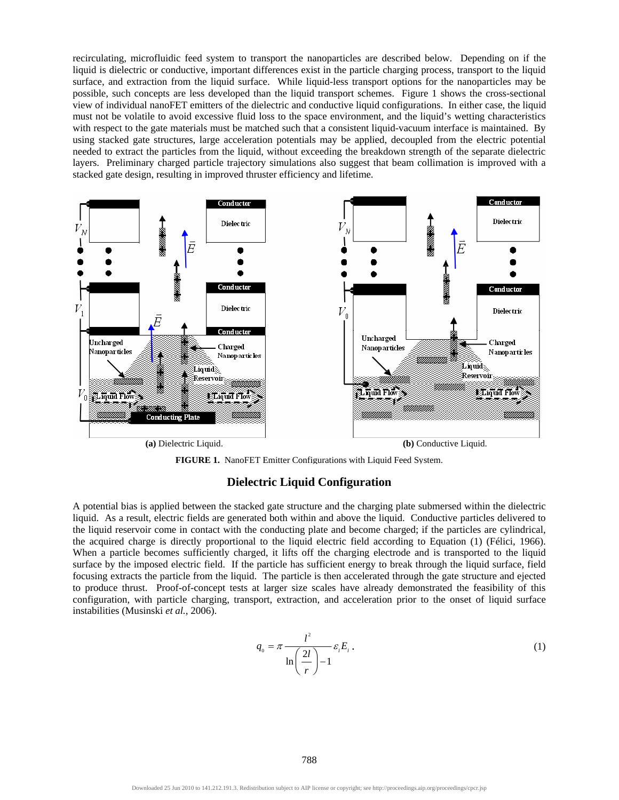recirculating, microfluidic feed system to transport the nanoparticles are described below. Depending on if the liquid is dielectric or conductive, important differences exist in the particle charging process, transport to the liquid surface, and extraction from the liquid surface. While liquid-less transport options for the nanoparticles may be possible, such concepts are less developed than the liquid transport schemes. Figure 1 shows the cross-sectional view of individual nanoFET emitters of the dielectric and conductive liquid configurations. In either case, the liquid must not be volatile to avoid excessive fluid loss to the space environment, and the liquid's wetting characteristics with respect to the gate materials must be matched such that a consistent liquid-vacuum interface is maintained. By using stacked gate structures, large acceleration potentials may be applied, decoupled from the electric potential needed to extract the particles from the liquid, without exceeding the breakdown strength of the separate dielectric layers. Preliminary charged particle trajectory simulations also suggest that beam collimation is improved with a stacked gate design, resulting in improved thruster efficiency and lifetime.



**FIGURE 1.** NanoFET Emitter Configurations with Liquid Feed System.

### **Dielectric Liquid Configuration**

A potential bias is applied between the stacked gate structure and the charging plate submersed within the dielectric liquid. As a result, electric fields are generated both within and above the liquid. Conductive particles delivered to the liquid reservoir come in contact with the conducting plate and become charged; if the particles are cylindrical, the acquired charge is directly proportional to the liquid electric field according to Equation (1) (Félici, 1966). When a particle becomes sufficiently charged, it lifts off the charging electrode and is transported to the liquid surface by the imposed electric field. If the particle has sufficient energy to break through the liquid surface, field focusing extracts the particle from the liquid. The particle is then accelerated through the gate structure and ejected to produce thrust. Proof-of-concept tests at larger size scales have already demonstrated the feasibility of this configuration, with particle charging, transport, extraction, and acceleration prior to the onset of liquid surface instabilities (Musinski *et al.*, 2006).

$$
q_0 = \pi \frac{l^2}{\ln\left(\frac{2l}{r}\right) - 1} \varepsilon_l E_l.
$$
 (1)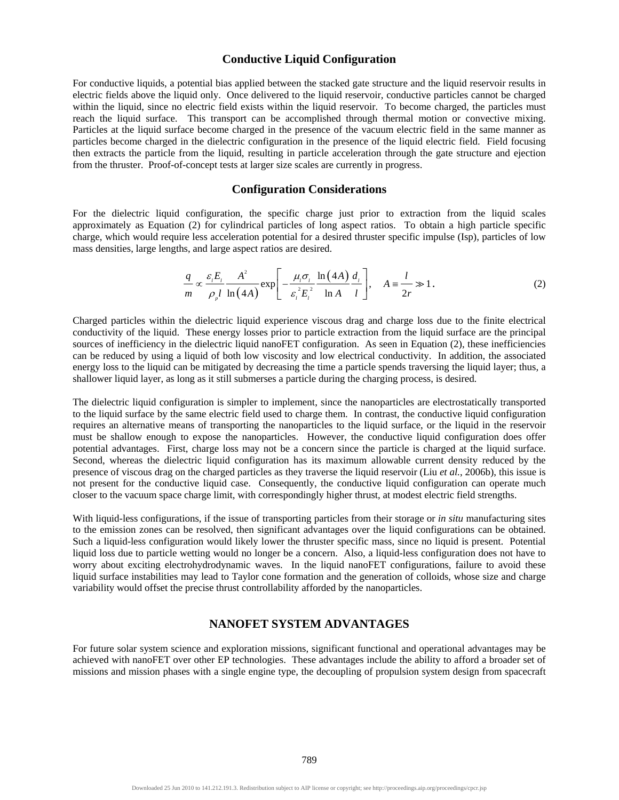### **Conductive Liquid Configuration**

For conductive liquids, a potential bias applied between the stacked gate structure and the liquid reservoir results in electric fields above the liquid only. Once delivered to the liquid reservoir, conductive particles cannot be charged within the liquid, since no electric field exists within the liquid reservoir. To become charged, the particles must reach the liquid surface. This transport can be accomplished through thermal motion or convective mixing. Particles at the liquid surface become charged in the presence of the vacuum electric field in the same manner as particles become charged in the dielectric configuration in the presence of the liquid electric field. Field focusing then extracts the particle from the liquid, resulting in particle acceleration through the gate structure and ejection from the thruster. Proof-of-concept tests at larger size scales are currently in progress.

### **Configuration Considerations**

For the dielectric liquid configuration, the specific charge just prior to extraction from the liquid scales approximately as Equation (2) for cylindrical particles of long aspect ratios. To obtain a high particle specific charge, which would require less acceleration potential for a desired thruster specific impulse (Isp), particles of low mass densities, large lengths, and large aspect ratios are desired.

$$
\frac{q}{m} \propto \frac{\varepsilon_i E_i}{\rho_{p} l} \frac{A^2}{\ln(4A)} \exp\left[-\frac{\mu_i \sigma_i}{\varepsilon_i^2 E_i^2} \frac{\ln(4A)}{\ln A} \frac{d_i}{l}\right], \quad A = \frac{l}{2r} \gg 1.
$$
 (2)

Charged particles within the dielectric liquid experience viscous drag and charge loss due to the finite electrical conductivity of the liquid. These energy losses prior to particle extraction from the liquid surface are the principal sources of inefficiency in the dielectric liquid nanoFET configuration. As seen in Equation (2), these inefficiencies can be reduced by using a liquid of both low viscosity and low electrical conductivity. In addition, the associated energy loss to the liquid can be mitigated by decreasing the time a particle spends traversing the liquid layer; thus, a shallower liquid layer, as long as it still submerses a particle during the charging process, is desired.

The dielectric liquid configuration is simpler to implement, since the nanoparticles are electrostatically transported to the liquid surface by the same electric field used to charge them. In contrast, the conductive liquid configuration requires an alternative means of transporting the nanoparticles to the liquid surface, or the liquid in the reservoir must be shallow enough to expose the nanoparticles. However, the conductive liquid configuration does offer potential advantages. First, charge loss may not be a concern since the particle is charged at the liquid surface. Second, whereas the dielectric liquid configuration has its maximum allowable current density reduced by the presence of viscous drag on the charged particles as they traverse the liquid reservoir (Liu *et al.*, 2006b), this issue is not present for the conductive liquid case. Consequently, the conductive liquid configuration can operate much closer to the vacuum space charge limit, with correspondingly higher thrust, at modest electric field strengths.

With liquid-less configurations, if the issue of transporting particles from their storage or *in situ* manufacturing sites to the emission zones can be resolved, then significant advantages over the liquid configurations can be obtained. Such a liquid-less configuration would likely lower the thruster specific mass, since no liquid is present. Potential liquid loss due to particle wetting would no longer be a concern. Also, a liquid-less configuration does not have to worry about exciting electrohydrodynamic waves. In the liquid nanoFET configurations, failure to avoid these liquid surface instabilities may lead to Taylor cone formation and the generation of colloids, whose size and charge variability would offset the precise thrust controllability afforded by the nanoparticles.

### **NANOFET SYSTEM ADVANTAGES**

For future solar system science and exploration missions, significant functional and operational advantages may be achieved with nanoFET over other EP technologies. These advantages include the ability to afford a broader set of missions and mission phases with a single engine type, the decoupling of propulsion system design from spacecraft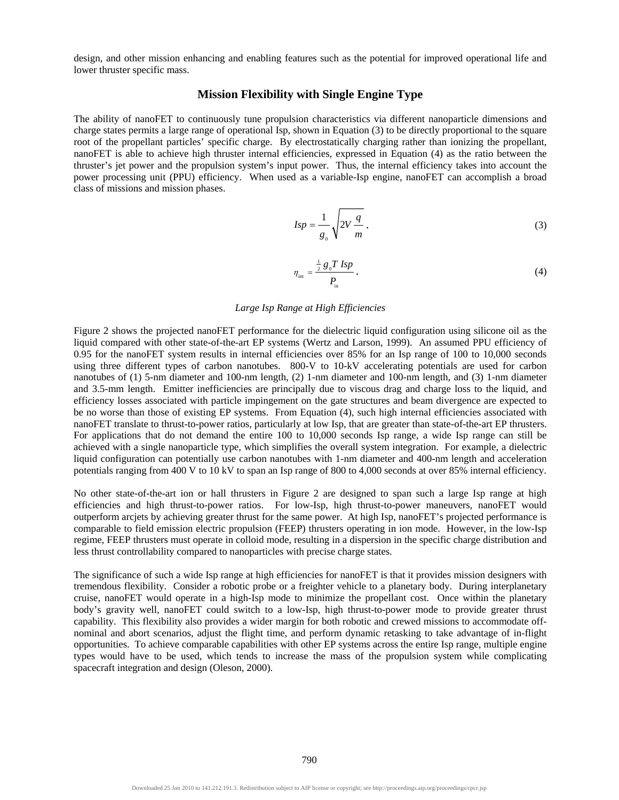design, and other mission enhancing and enabling features such as the potential for improved operational life and lower thruster specific mass.

### **Mission Flexibility with Single Engine Type**

The ability of nanoFET to continuously tune propulsion characteristics via different nanoparticle dimensions and charge states permits a large range of operational Isp, shown in Equation (3) to be directly proportional to the square root of the propellant particles' specific charge. By electrostatically charging rather than ionizing the propellant, nanoFET is able to achieve high thruster internal efficiencies, expressed in Equation (4) as the ratio between the thruster's jet power and the propulsion system's input power. Thus, the internal efficiency takes into account the power processing unit (PPU) efficiency. When used as a variable-Isp engine, nanoFET can accomplish a broad class of missions and mission phases.

$$
Isp = \frac{1}{g_0} \sqrt{2V \frac{q}{m}}.
$$
\n(3)

$$
\eta_{\text{int}} = \frac{\frac{1}{2} g_0 T \, Isp}{P_{\text{in}}} \,. \tag{4}
$$

#### *Large Isp Range at High Efficiencies*

Figure 2 shows the projected nanoFET performance for the dielectric liquid configuration using silicone oil as the liquid compared with other state-of-the-art EP systems (Wertz and Larson, 1999). An assumed PPU efficiency of 0.95 for the nanoFET system results in internal efficiencies over 85% for an Isp range of 100 to 10,000 seconds using three different types of carbon nanotubes. 800-V to 10-kV accelerating potentials are used for carbon nanotubes of (1) 5-nm diameter and 100-nm length, (2) 1-nm diameter and 100-nm length, and (3) 1-nm diameter and 3.5-mm length. Emitter inefficiencies are principally due to viscous drag and charge loss to the liquid, and efficiency losses associated with particle impingement on the gate structures and beam divergence are expected to be no worse than those of existing EP systems. From Equation (4), such high internal efficiencies associated with nanoFET translate to thrust-to-power ratios, particularly at low Isp, that are greater than state-of-the-art EP thrusters. For applications that do not demand the entire 100 to 10,000 seconds Isp range, a wide Isp range can still be achieved with a single nanoparticle type, which simplifies the overall system integration. For example, a dielectric liquid configuration can potentially use carbon nanotubes with 1-nm diameter and 400-nm length and acceleration potentials ranging from 400 V to 10 kV to span an Isp range of 800 to 4,000 seconds at over 85% internal efficiency.

No other state-of-the-art ion or hall thrusters in Figure 2 are designed to span such a large Isp range at high efficiencies and high thrust-to-power ratios. For low-Isp, high thrust-to-power maneuvers, nanoFET would outperform arcjets by achieving greater thrust for the same power. At high Isp, nanoFET's projected performance is comparable to field emission electric propulsion (FEEP) thrusters operating in ion mode. However, in the low-Isp regime, FEEP thrusters must operate in colloid mode, resulting in a dispersion in the specific charge distribution and less thrust controllability compared to nanoparticles with precise charge states.

The significance of such a wide Isp range at high efficiencies for nanoFET is that it provides mission designers with tremendous flexibility. Consider a robotic probe or a freighter vehicle to a planetary body. During interplanetary cruise, nanoFET would operate in a high-Isp mode to minimize the propellant cost. Once within the planetary body's gravity well, nanoFET could switch to a low-Isp, high thrust-to-power mode to provide greater thrust capability. This flexibility also provides a wider margin for both robotic and crewed missions to accommodate offnominal and abort scenarios, adjust the flight time, and perform dynamic retasking to take advantage of in-flight opportunities. To achieve comparable capabilities with other EP systems across the entire Isp range, multiple engine types would have to be used, which tends to increase the mass of the propulsion system while complicating spacecraft integration and design (Oleson, 2000).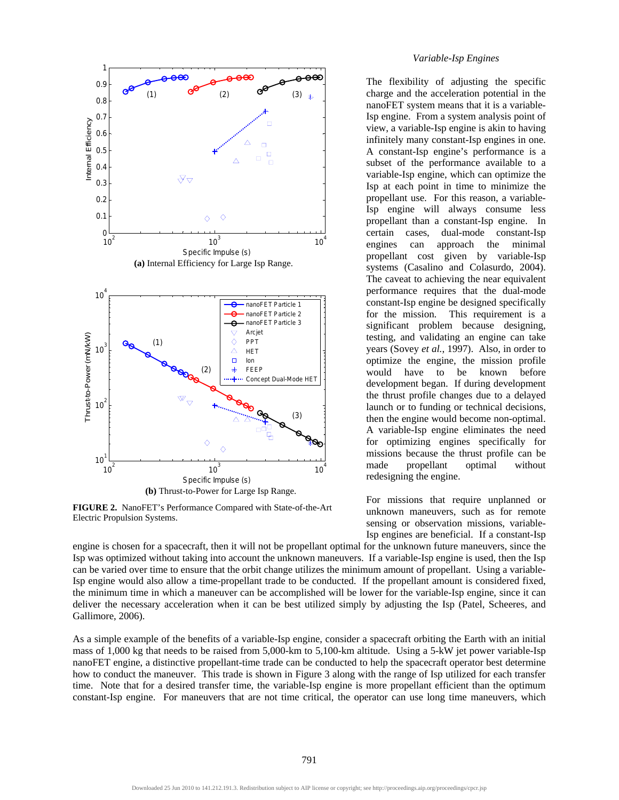

**FIGURE 2.** NanoFET's Performance Compared with State-of-the-Art Electric Propulsion Systems.

#### *Variable-Isp Engines*

The flexibility of adjusting the specific charge and the acceleration potential in the nanoFET system means that it is a variable-Isp engine. From a system analysis point of view, a variable-Isp engine is akin to having infinitely many constant-Isp engines in one. A constant-Isp engine's performance is a subset of the performance available to a variable-Isp engine, which can optimize the Isp at each point in time to minimize the propellant use. For this reason, a variable-Isp engine will always consume less propellant than a constant-Isp engine. In certain cases, dual-mode constant-Isp engines can approach the minimal propellant cost given by variable-Isp systems (Casalino and Colasurdo, 2004). The caveat to achieving the near equivalent performance requires that the dual-mode constant-Isp engine be designed specifically for the mission. This requirement is a significant problem because designing, testing, and validating an engine can take years (Sovey *et al.*, 1997). Also, in order to optimize the engine, the mission profile would have to be known before development began. If during development the thrust profile changes due to a delayed launch or to funding or technical decisions, then the engine would become non-optimal. A variable-Isp engine eliminates the need for optimizing engines specifically for missions because the thrust profile can be made propellant optimal without redesigning the engine.

For missions that require unplanned or unknown maneuvers, such as for remote sensing or observation missions, variable-Isp engines are beneficial. If a constant-Isp

engine is chosen for a spacecraft, then it will not be propellant optimal for the unknown future maneuvers, since the Isp was optimized without taking into account the unknown maneuvers. If a variable-Isp engine is used, then the Isp can be varied over time to ensure that the orbit change utilizes the minimum amount of propellant. Using a variable-Isp engine would also allow a time-propellant trade to be conducted. If the propellant amount is considered fixed, the minimum time in which a maneuver can be accomplished will be lower for the variable-Isp engine, since it can deliver the necessary acceleration when it can be best utilized simply by adjusting the Isp (Patel, Scheeres, and Gallimore, 2006).

As a simple example of the benefits of a variable-Isp engine, consider a spacecraft orbiting the Earth with an initial mass of 1,000 kg that needs to be raised from 5,000-km to 5,100-km altitude. Using a 5-kW jet power variable-Isp nanoFET engine, a distinctive propellant-time trade can be conducted to help the spacecraft operator best determine how to conduct the maneuver. This trade is shown in Figure 3 along with the range of Isp utilized for each transfer time. Note that for a desired transfer time, the variable-Isp engine is more propellant efficient than the optimum constant-Isp engine. For maneuvers that are not time critical, the operator can use long time maneuvers, which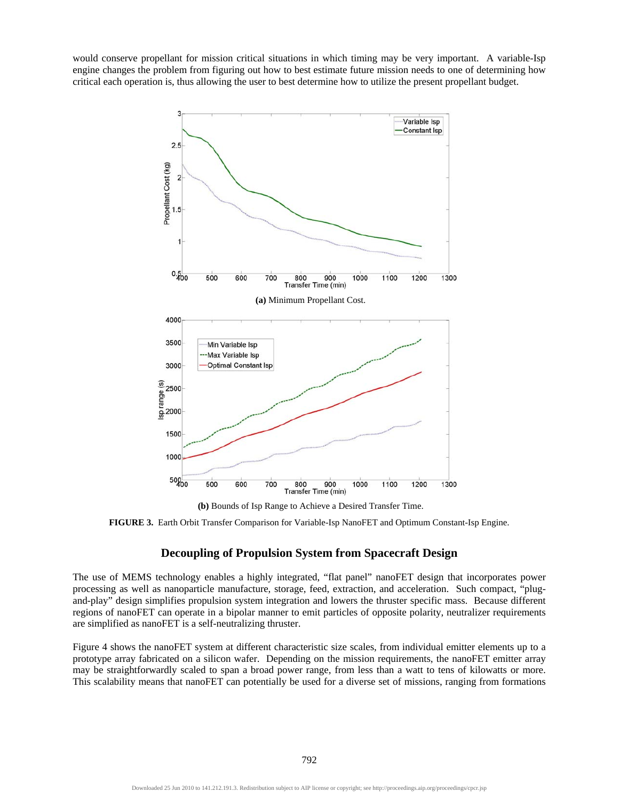would conserve propellant for mission critical situations in which timing may be very important. A variable-Isp engine changes the problem from figuring out how to best estimate future mission needs to one of determining how critical each operation is, thus allowing the user to best determine how to utilize the present propellant budget.



**(b)** Bounds of Isp Range to Achieve a Desired Transfer Time.

**FIGURE 3.** Earth Orbit Transfer Comparison for Variable-Isp NanoFET and Optimum Constant-Isp Engine.

### **Decoupling of Propulsion System from Spacecraft Design**

The use of MEMS technology enables a highly integrated, "flat panel" nanoFET design that incorporates power processing as well as nanoparticle manufacture, storage, feed, extraction, and acceleration. Such compact, "plugand-play" design simplifies propulsion system integration and lowers the thruster specific mass. Because different regions of nanoFET can operate in a bipolar manner to emit particles of opposite polarity, neutralizer requirements are simplified as nanoFET is a self-neutralizing thruster.

Figure 4 shows the nanoFET system at different characteristic size scales, from individual emitter elements up to a prototype array fabricated on a silicon wafer. Depending on the mission requirements, the nanoFET emitter array may be straightforwardly scaled to span a broad power range, from less than a watt to tens of kilowatts or more. This scalability means that nanoFET can potentially be used for a diverse set of missions, ranging from formations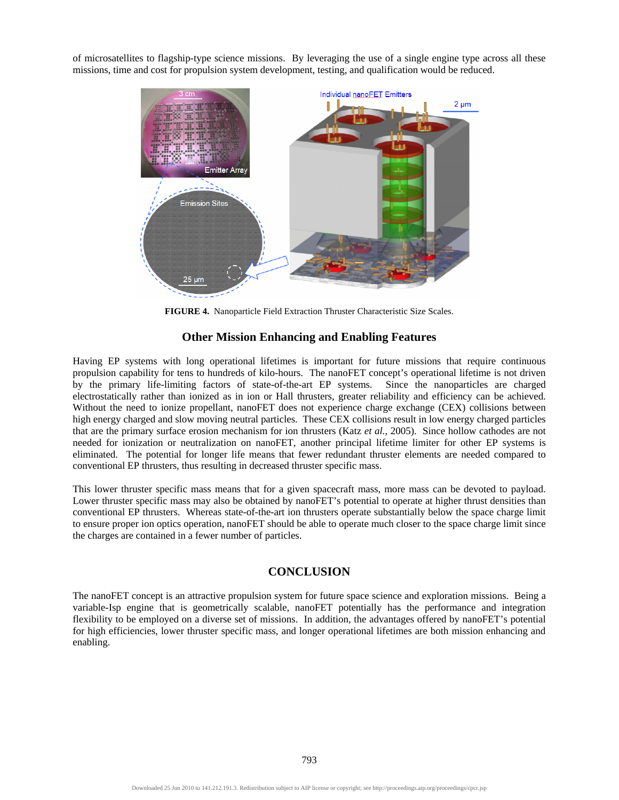of microsatellites to flagship-type science missions. By leveraging the use of a single engine type across all these missions, time and cost for propulsion system development, testing, and qualification would be reduced.



**FIGURE 4.** Nanoparticle Field Extraction Thruster Characteristic Size Scales.

### **Other Mission Enhancing and Enabling Features**

Having EP systems with long operational lifetimes is important for future missions that require continuous propulsion capability for tens to hundreds of kilo-hours. The nanoFET concept's operational lifetime is not driven by the primary life-limiting factors of state-of-the-art EP systems. Since the nanoparticles are charged electrostatically rather than ionized as in ion or Hall thrusters, greater reliability and efficiency can be achieved. Without the need to ionize propellant, nanoFET does not experience charge exchange (CEX) collisions between high energy charged and slow moving neutral particles. These CEX collisions result in low energy charged particles that are the primary surface erosion mechanism for ion thrusters (Katz *et al.*, 2005). Since hollow cathodes are not needed for ionization or neutralization on nanoFET, another principal lifetime limiter for other EP systems is eliminated. The potential for longer life means that fewer redundant thruster elements are needed compared to conventional EP thrusters, thus resulting in decreased thruster specific mass.

This lower thruster specific mass means that for a given spacecraft mass, more mass can be devoted to payload. Lower thruster specific mass may also be obtained by nanoFET's potential to operate at higher thrust densities than conventional EP thrusters. Whereas state-of-the-art ion thrusters operate substantially below the space charge limit to ensure proper ion optics operation, nanoFET should be able to operate much closer to the space charge limit since the charges are contained in a fewer number of particles.

### **CONCLUSION**

The nanoFET concept is an attractive propulsion system for future space science and exploration missions. Being a variable-Isp engine that is geometrically scalable, nanoFET potentially has the performance and integration flexibility to be employed on a diverse set of missions. In addition, the advantages offered by nanoFET's potential for high efficiencies, lower thruster specific mass, and longer operational lifetimes are both mission enhancing and enabling.